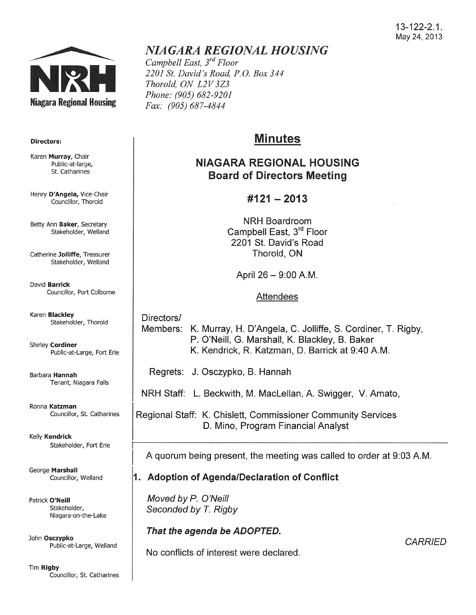#### 13-122-2.1. May 24,2013



#### Directors:

Karen Murray, Chair Public-at-large, St. Catharines

Henry D'Angela, Vice-Chair Councillor, Thorold

Betty Ann Baker, Secretary Stakeholder, Weiland

Catherine Jolliffe, Treasurer Stakeholder, Weiland

David Barrick Councillor, Port Colborne

Karen Blackley Stakeholder, Thorold

Shirley Cordiner Public-at-Large, Fort Erie

Barbara Hannah Tenant, Niagara Falls

Ronna Katzman Councillor, St. Catharines

Kelly Kendrick Stakeholder, Fort Erie

George Marshall Councillor, Weiland

Patrick O'Neill Stakeholder, Niagara-on-the-Lake

John Osczypko Public-at-Large, Weiland

Tim Rigby Councillor, St. Catharines

# *NIAGARA REGIONAL HOUSING*

*Campbell East, 3rd Floor 2201 St. David's Road, P.O. Box 344 Thorold, ON L2V 3Z3 Phone: (905) 682-9201 Fax: (905) 687-4844* 

# Minutes

## NIAGARA REGIONAL HOUSING Board of Directors Meeting

### $\#121 - 2013$

NRH Boardroom Campbell East, 3rd Floor 2201 St. David's Road Thorold, ON

April 26- 9:00A.M.

#### Attendees

Directors/ Members: K. Murray, H. D'Angela, C. Jolliffe, S. Cordiner, T. Rigby, P. O'Neill, G. Marshall, K. Blackley, B. Baker K. Kendrick, R. Katzman, D. Barrick at 9:40 A.M.

Regrets: J. Osczypko, B. Hannah

NRH Staff: L. Beckwith, M. MacLellan, A. Swigger, V. Amato,

Regional Staff: K. Chislett, Commissioner Community Services D. Mino, Program Financial Analyst

A quorum being present, the meeting was called to order at 9:03A.M.

### 1. Adoption of Agenda/Declaration of Conflict

Moved by *P.* O'Neill Seconded by T. Rigby

## That the agenda be ADOPTED.

No conflicts of interest were declared.

**CARRIED**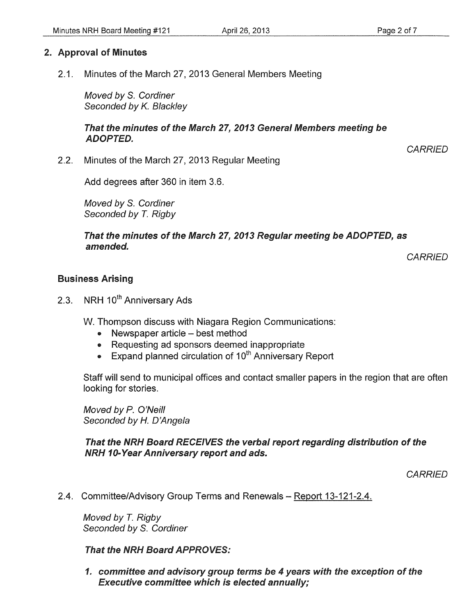#### 2. Approval of Minutes

2.1. Minutes of the March 27,2013 General Members Meeting

Moved by S. Cordiner Seconded by K. Blackley

#### That the minutes of the March 27, 2013 General Members meeting be ADOPTED.

**CARRIED** 

2.2. Minutes of the March 27, 2013 Regular Meeting

Add degrees after 360 in item 3.6.

Moved by S. Cordiner Seconded by *T.* Rigby

#### That the minutes of the March 27, 2013 Regular meeting be ADOPTED, as amended.

**CARRIED** 

#### Business Arising

2.3. NRH 10<sup>th</sup> Anniversary Ads

W. Thompson discuss with Niagara Region Communications:

- Newspaper article best method
- Requesting ad sponsors deemed inappropriate
- Expand planned circulation of  $10^{th}$  Anniversary Report

Staff will send to municipal offices and contact smaller papers in the region that are often looking for stories.

Moved by P. O'Neill Seconded by *H.* D'Angela

#### That the NRH Board RECEIVES the verbal report regarding distribution of the NRH 10-Year Anniversary report and ads.

**CARRIED** 

2.4. Committee/Advisory Group Terms and Renewals- Report 13-121-2.4.

Moved by T. Rigby Seconded by S. Cordiner

#### That the NRH Board APPROVES:

1. committee and advisory group terms be 4 years with the exception of the Executive committee which is elected annually;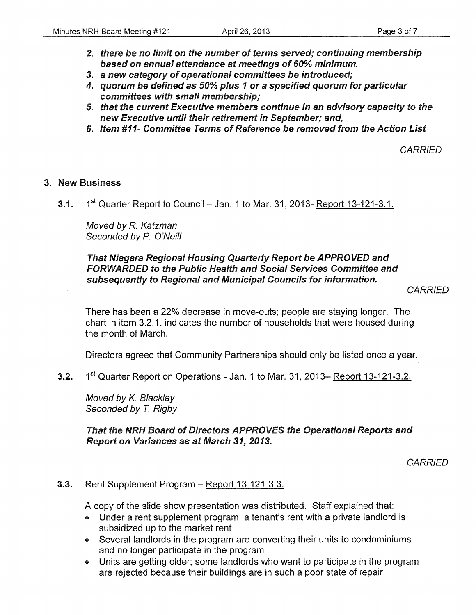- 2. there be no limit on the number of terms served; continuing membership based on annual attendance at meetings of 60% minimum.
- 3. a new category of operational committees be introduced;
- 4. quorum be defined as 50% plus 1 or a specified quorum for particular committees with small membership;
- 5. that the current Executive members continue in an advisory capacity to the new Executive until their retirement in September; and,
- 6. Item #11- Committee Terms of Reference be removed from the Action List

**CARRIED** 

#### 3. New Business

3.1.  $1^{st}$  Quarter Report to Council – Jan. 1 to Mar. 31, 2013- Report 13-121-3.1.

Moved by R. Katzman Seconded by P. O'Neill

#### That Niagara Regional Housing Quarterly Report be APPROVED and FORWARDED to the Public Health and Social Services Committee and subsequently to Regional and Municipal Councils for information.

**CARRIED** 

There has been a 22% decrease in move-outs; people are staying longer. The chart in item 3.2.1. indicates the number of households that were housed during the month of March.

Directors agreed that Community Partnerships should only be listed once a year.

3.2. 1<sup>st</sup> Quarter Report on Operations - Jan. 1 to Mar. 31, 2013– Report 13-121-3.2.

Moved by K. Blackley Seconded by *T.* Rigby

#### That the NRH Board of Directors APPROVES the Operational Reports and Report on Variances as at March 31, 2013.

**CARRIED** 

#### 3.3. Rent Supplement Program - Report 13-121-3.3.

A copy of the slide show presentation was distributed. Staff explained that:

- Under a rent supplement program, a tenant's rent with a private landlord is subsidized up to the market rent
- Several landlords in the program are converting their units to condominiums and no longer participate in the program
- Units are getting older; some landlords who want to participate in the program are rejected because their buildings are in such a poor state of repair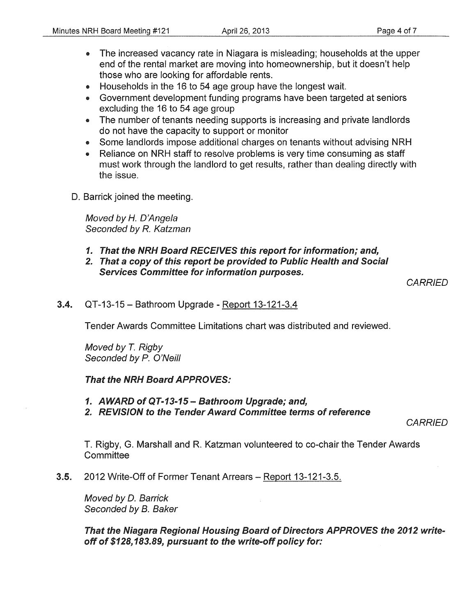- The increased vacancy rate in Niagara is misleading; households at the upper end of the rental market are moving into homeownership, but it doesn't help those who are looking for affordable rents.
- Households in the 16 to 54 age group have the longest wait.
- Government development funding programs have been targeted at seniors excluding the 16 to 54 age group
- The number of tenants needing supports is increasing and private landlords do not have the capacity to support or monitor
- Some landlords impose additional charges on tenants without advising NRH
- Reliance on NRH staff to resolve problems is very time consuming as staff must work through the landlord to get results, rather than dealing directly with the issue.
- D. Barrick joined the meeting.

Moved by *H.* D'Angela Seconded by R. Katzman

- 1. That the NRH Board RECEIVES this report for information; and,
- 2. That a copy of this report be provided to Public Health and Social Services Committee for information purposes.

**CARRIED** 

3.4. QT-13-15- Bathroom Upgrade- Report 13-121-3.4

Tender Awards Committee Limitations chart was distributed and reviewed.

Moved by T. Rigby Seconded by P. O'Neill

#### That the NRH Board APPROVES:

- 1. AWARD of QT-13-15- Bathroom Upgrade; and,
- 2. REVISION to the Tender Award Committee terms of reference

**CARRIED** 

T. Rigby, G. Marshall and R. Katzman volunteered to co-chair the Tender Awards **Committee** 

3.5. 2012 Write-Off of Former Tenant Arrears- Report 13-121-3.5.

Moved by D. Barrick Seconded by B. Baker

That the Niagara Regional Housing Board of Directors APPROVES the 2012 writeoff of \$128, 183.89, pursuant to the write-off policy for: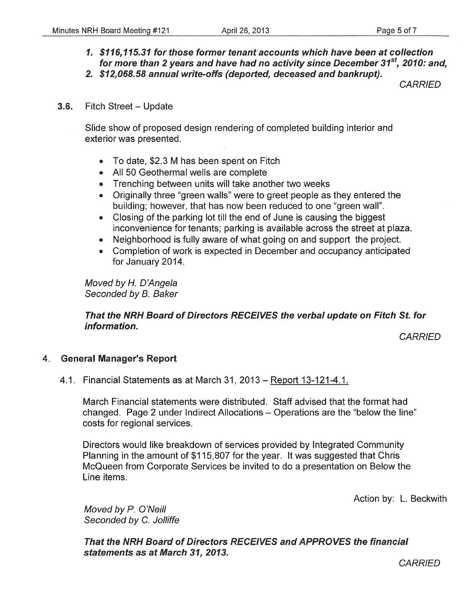*1. \$116, 115.31* for those former tenant accounts which have been at collection for more than *2* years and have had no activity since December *31st, 2010:* and, *2. \$12,068.58* annual write-offs (deported, deceased and bankrupt).

**CARRIED** 

#### **3.6.** Fitch Street – Update

Slide show of proposed design rendering of completed building interior and exterior was presented.

- To date, \$2.3 M has been spent on Fitch
- All 50 Geothermal wells are complete
- Trenching between units will take another two weeks
- Originally three "green walls" were to greet people as they entered the building; however, that has now been reduced to one "green wall".
- Closing of the parking lot till the end of June is causing the biggest inconvenience for tenants; parking is available across the street at plaza.
- Neighborhood is fully aware of what going on and support the project.
- Completion of work is expected in December and occupancy anticipated for January 2014.

Moved by *H.* D'Angela Seconded by B. Baker

#### That the NRH Board of Directors RECEIVES the verbal update on Fitch St. for information.

**CARRIED** 

#### 4. General Manager's Report

#### 4.1. Financial Statements as at March 31, 2013- Report 13-121-4.1.

March Financial statements were distributed. Staff advised that the format had changed. Page 2 under Indirect Allocations- Operations are the "below the line" costs for regional services.

Directors would like breakdown of services provided by Integrated Community Planning in the amount of \$115,807 for the year. It was suggested that Chris McQueen from Corporate Services be invited to do a presentation on Below the Line items.

Action by: L. Beckwith

Moved by P. O'Neill Seconded by C. Jolliffe

That the NRH Board of Directors RECEIVES and APPROVES the financial statements as at March *31, 2013.* 

**CARRIED**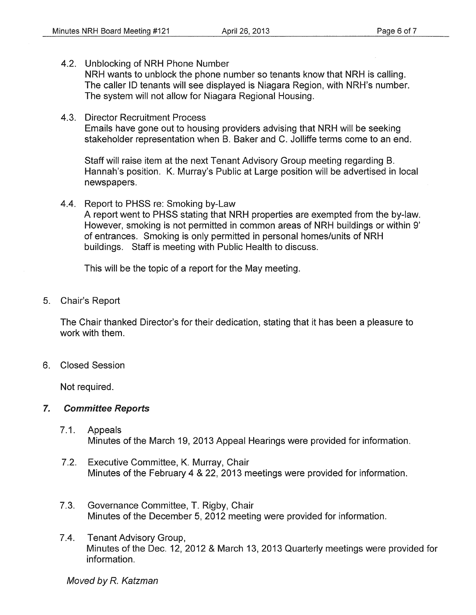4.2. Unblocking of NRH Phone Number

NRH wants to unblock the phone number so tenants know that NRH is calling. The caller ID tenants will see displayed is Niagara Region, with NRH's number. The system will not allow for Niagara Regional Housing.

4.3. Director Recruitment Process

Emails have gone out to housing providers advising that NRH will be seeking stakeholder representation when B. Baker and C. Jolliffe terms come to an end.

Staff will raise item at the next Tenant Advisory Group meeting regarding B. Hannah's position. K. Murray's Public at Large position will be advertised in local newspapers.

4.4. Report to PHSS re: Smoking by-Law

A report went to PHSS stating that NRH properties are exempted from the by-law. However, smoking is not permitted in common areas of NRH buildings or within 9' of entrances. Smoking is only permitted in personal homes/units of NRH buildings. Staff is meeting with Public Health to discuss.

This will be the topic of a report for the May meeting.

5. Chair's Report

The Chair thanked Director's for their dedication, stating that it has been a pleasure to work with them.

6. Closed Session

Not required.

#### 7. Committee Reports

- 7.1. Appeals Minutes of the March 19, 2013 Appeal Hearings were provided for information.
- 7.2. Executive Committee, K. Murray, Chair Minutes of the February 4 & 22, 2013 meetings were provided for information.
- 7.3. Governance Committee, T. Rigby, Chair Minutes of the December 5, 2012 meeting were provided for information.
- 7.4. Tenant Advisory Group, Minutes of the Dec. 12, 2012 & March 13,2013 Quarterly meetings were provided for information.

Moved by R. Katzman